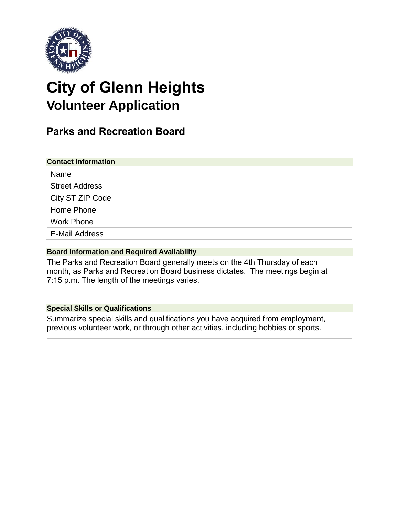

# **City of Glenn Heights Volunteer Application**

# **Parks and Recreation Board**

| <b>Contact Information</b> |  |  |
|----------------------------|--|--|
| Name                       |  |  |
| <b>Street Address</b>      |  |  |
| City ST ZIP Code           |  |  |
| Home Phone                 |  |  |
| <b>Work Phone</b>          |  |  |
| <b>E-Mail Address</b>      |  |  |

## **Board Information and Required Availability**

The Parks and Recreation Board generally meets on the 4th Thursday of each month, as Parks and Recreation Board business dictates. The meetings begin at 7:15 p.m. The length of the meetings varies.

## **Special Skills or Qualifications**

Summarize special skills and qualifications you have acquired from employment, previous volunteer work, or through other activities, including hobbies or sports.